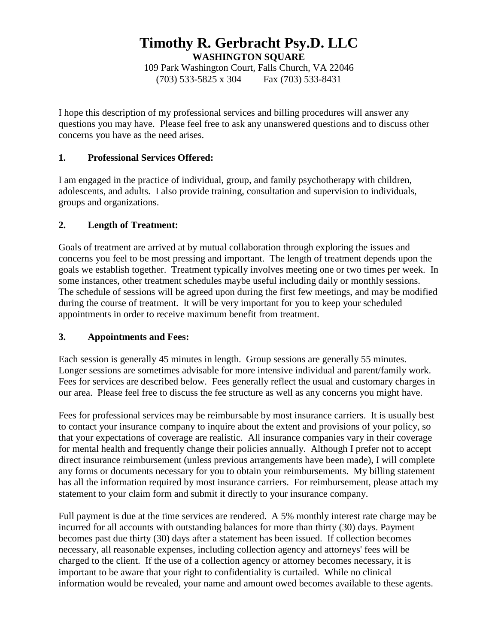# **Timothy R. Gerbracht Psy.D. LLC WASHINGTON SQUARE**

109 Park Washington Court, Falls Church, VA 22046 (703) 533-5825 x 304 Fax (703) 533-8431

I hope this description of my professional services and billing procedures will answer any questions you may have. Please feel free to ask any unanswered questions and to discuss other concerns you have as the need arises.

## **1. Professional Services Offered:**

I am engaged in the practice of individual, group, and family psychotherapy with children, adolescents, and adults. I also provide training, consultation and supervision to individuals, groups and organizations.

## **2. Length of Treatment:**

Goals of treatment are arrived at by mutual collaboration through exploring the issues and concerns you feel to be most pressing and important. The length of treatment depends upon the goals we establish together. Treatment typically involves meeting one or two times per week. In some instances, other treatment schedules maybe useful including daily or monthly sessions. The schedule of sessions will be agreed upon during the first few meetings, and may be modified during the course of treatment. It will be very important for you to keep your scheduled appointments in order to receive maximum benefit from treatment.

#### **3. Appointments and Fees:**

Each session is generally 45 minutes in length. Group sessions are generally 55 minutes. Longer sessions are sometimes advisable for more intensive individual and parent/family work. Fees for services are described below. Fees generally reflect the usual and customary charges in our area. Please feel free to discuss the fee structure as well as any concerns you might have.

Fees for professional services may be reimbursable by most insurance carriers. It is usually best to contact your insurance company to inquire about the extent and provisions of your policy, so that your expectations of coverage are realistic. All insurance companies vary in their coverage for mental health and frequently change their policies annually. Although I prefer not to accept direct insurance reimbursement (unless previous arrangements have been made), I will complete any forms or documents necessary for you to obtain your reimbursements. My billing statement has all the information required by most insurance carriers. For reimbursement, please attach my statement to your claim form and submit it directly to your insurance company.

Full payment is due at the time services are rendered. A 5% monthly interest rate charge may be incurred for all accounts with outstanding balances for more than thirty (30) days. Payment becomes past due thirty (30) days after a statement has been issued. If collection becomes necessary, all reasonable expenses, including collection agency and attorneys' fees will be charged to the client. If the use of a collection agency or attorney becomes necessary, it is important to be aware that your right to confidentiality is curtailed. While no clinical information would be revealed, your name and amount owed becomes available to these agents.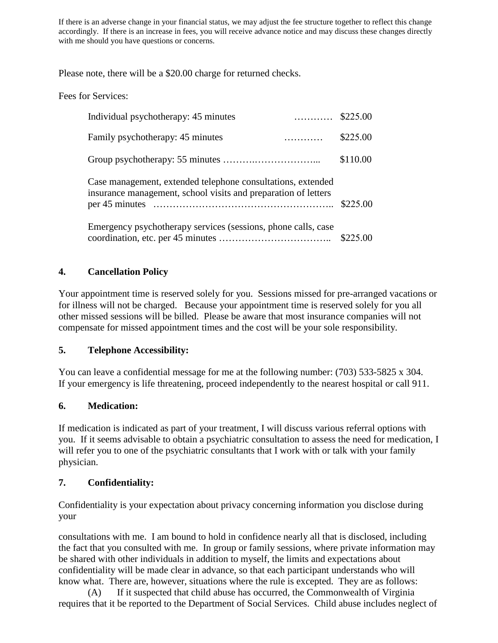If there is an adverse change in your financial status, we may adjust the fee structure together to reflect this change accordingly. If there is an increase in fees, you will receive advance notice and may discuss these changes directly with me should you have questions or concerns.

Please note, there will be a \$20.00 charge for returned checks.

Fees for Services:

| Individual psychotherapy: 45 minutes                                                                                          |          |
|-------------------------------------------------------------------------------------------------------------------------------|----------|
| Family psychotherapy: 45 minutes<br>.                                                                                         | \$225.00 |
|                                                                                                                               | \$110.00 |
| Case management, extended telephone consultations, extended<br>insurance management, school visits and preparation of letters | \$225.00 |
| Emergency psychotherapy services (sessions, phone calls, case                                                                 | \$225,00 |

## **4. Cancellation Policy**

Your appointment time is reserved solely for you. Sessions missed for pre-arranged vacations or for illness will not be charged. Because your appointment time is reserved solely for you all other missed sessions will be billed. Please be aware that most insurance companies will not compensate for missed appointment times and the cost will be your sole responsibility.

#### **5. Telephone Accessibility:**

You can leave a confidential message for me at the following number: (703) 533-5825 x 304. If your emergency is life threatening, proceed independently to the nearest hospital or call 911.

# **6. Medication:**

If medication is indicated as part of your treatment, I will discuss various referral options with you. If it seems advisable to obtain a psychiatric consultation to assess the need for medication, I will refer you to one of the psychiatric consultants that I work with or talk with your family physician.

# **7. Confidentiality:**

Confidentiality is your expectation about privacy concerning information you disclose during your

consultations with me. I am bound to hold in confidence nearly all that is disclosed, including the fact that you consulted with me. In group or family sessions, where private information may be shared with other individuals in addition to myself, the limits and expectations about confidentiality will be made clear in advance, so that each participant understands who will know what. There are, however, situations where the rule is excepted. They are as follows:

(A) If it suspected that child abuse has occurred, the Commonwealth of Virginia requires that it be reported to the Department of Social Services. Child abuse includes neglect of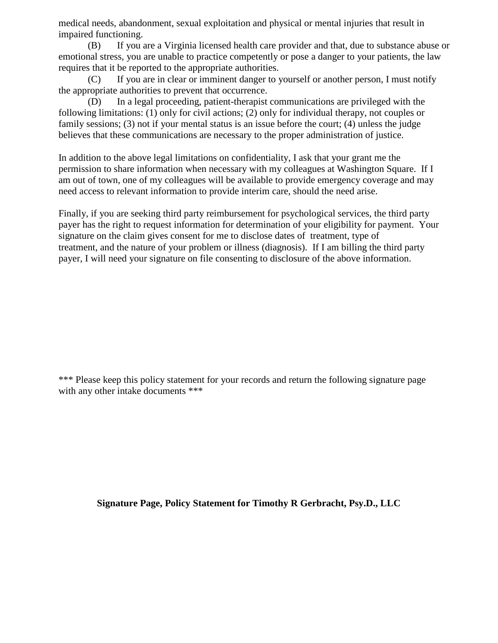medical needs, abandonment, sexual exploitation and physical or mental injuries that result in impaired functioning.

(B) If you are a Virginia licensed health care provider and that, due to substance abuse or emotional stress, you are unable to practice competently or pose a danger to your patients, the law requires that it be reported to the appropriate authorities.

(C) If you are in clear or imminent danger to yourself or another person, I must notify the appropriate authorities to prevent that occurrence.

(D) In a legal proceeding, patient-therapist communications are privileged with the following limitations: (1) only for civil actions; (2) only for individual therapy, not couples or family sessions; (3) not if your mental status is an issue before the court; (4) unless the judge believes that these communications are necessary to the proper administration of justice.

In addition to the above legal limitations on confidentiality, I ask that your grant me the permission to share information when necessary with my colleagues at Washington Square. If I am out of town, one of my colleagues will be available to provide emergency coverage and may need access to relevant information to provide interim care, should the need arise.

Finally, if you are seeking third party reimbursement for psychological services, the third party payer has the right to request information for determination of your eligibility for payment. Your signature on the claim gives consent for me to disclose dates of treatment, type of treatment, and the nature of your problem or illness (diagnosis). If I am billing the third party payer, I will need your signature on file consenting to disclosure of the above information.

\*\*\* Please keep this policy statement for your records and return the following signature page with any other intake documents \*\*\*

**Signature Page, Policy Statement for Timothy R Gerbracht, Psy.D., LLC**